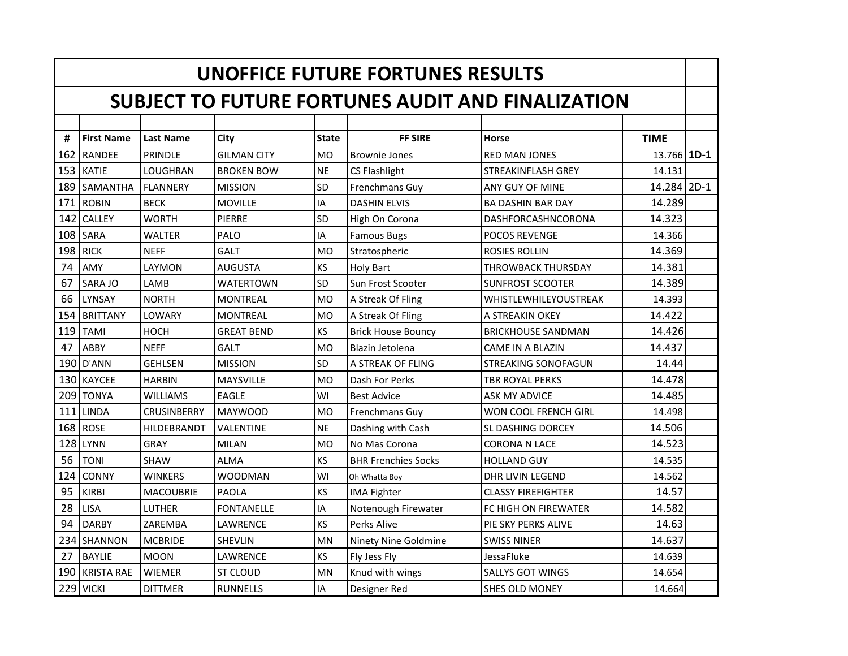|     | <b>UNOFFICE FUTURE FORTUNES RESULTS</b>                  |                    |                    |                |                            |                            |             |  |  |
|-----|----------------------------------------------------------|--------------------|--------------------|----------------|----------------------------|----------------------------|-------------|--|--|
|     | <b>SUBJECT TO FUTURE FORTUNES AUDIT AND FINALIZATION</b> |                    |                    |                |                            |                            |             |  |  |
|     |                                                          |                    |                    |                |                            |                            |             |  |  |
| #   | <b>First Name</b>                                        | <b>Last Name</b>   | City               | <b>State</b>   | <b>FF SIRE</b>             | <b>Horse</b>               | <b>TIME</b> |  |  |
| 162 | <b>RANDEE</b>                                            | PRINDLE            | <b>GILMAN CITY</b> | <b>MO</b>      | <b>Brownie Jones</b>       | <b>RED MAN JONES</b>       | 13.766 1D-1 |  |  |
| 153 | <b>KATIE</b>                                             | LOUGHRAN           | <b>BROKEN BOW</b>  | <b>NE</b>      | <b>CS Flashlight</b>       | STREAKINFLASH GREY         | 14.131      |  |  |
| 189 | <b>SAMANTHA</b>                                          | <b>FLANNERY</b>    | <b>MISSION</b>     | SD             | Frenchmans Guy             | ANY GUY OF MINE            | 14.284 2D-1 |  |  |
| 171 | <b>ROBIN</b>                                             | <b>BECK</b>        | <b>MOVILLE</b>     | IA             | <b>DASHIN ELVIS</b>        | <b>BA DASHIN BAR DAY</b>   | 14.289      |  |  |
| 142 | <b>CALLEY</b>                                            | <b>WORTH</b>       | PIERRE             | SD             | High On Corona             | DASHFORCASHNCORONA         | 14.323      |  |  |
| 108 | <b>SARA</b>                                              | <b>WALTER</b>      | PALO               | IA             | <b>Famous Bugs</b>         | <b>POCOS REVENGE</b>       | 14.366      |  |  |
| 198 | <b>RICK</b>                                              | <b>NEFF</b>        | <b>GALT</b>        | M <sub>O</sub> | Stratospheric              | ROSIES ROLLIN              | 14.369      |  |  |
| 74  | AMY                                                      | LAYMON             | <b>AUGUSTA</b>     | KS             | Holy Bart                  | <b>THROWBACK THURSDAY</b>  | 14.381      |  |  |
| 67  | SARA JO                                                  | LAMB               | <b>WATERTOWN</b>   | SD             | Sun Frost Scooter          | <b>SUNFROST SCOOTER</b>    | 14.389      |  |  |
| 66  | LYNSAY                                                   | <b>NORTH</b>       | <b>MONTREAL</b>    | <b>MO</b>      | A Streak Of Fling          | WHISTLEWHILEYOUSTREAK      | 14.393      |  |  |
| 154 | <b>BRITTANY</b>                                          | LOWARY             | <b>MONTREAL</b>    | <b>MO</b>      | A Streak Of Fling          | A STREAKIN OKEY            | 14.422      |  |  |
| 119 | <b>TAMI</b>                                              | HOCH               | <b>GREAT BEND</b>  | <b>KS</b>      | <b>Brick House Bouncy</b>  | <b>BRICKHOUSE SANDMAN</b>  | 14.426      |  |  |
| 47  | ABBY                                                     | <b>NEFF</b>        | <b>GALT</b>        | M <sub>O</sub> | Blazin Jetolena            | <b>CAME IN A BLAZIN</b>    | 14.437      |  |  |
| 190 | D'ANN                                                    | <b>GEHLSEN</b>     | <b>MISSION</b>     | SD             | A STREAK OF FLING          | <b>STREAKING SONOFAGUN</b> | 14.44       |  |  |
| 130 | <b>KAYCEE</b>                                            | <b>HARBIN</b>      | <b>MAYSVILLE</b>   | <b>MO</b>      | Dash For Perks             | <b>TBR ROYAL PERKS</b>     | 14.478      |  |  |
| 209 | <b>TONYA</b>                                             | <b>WILLIAMS</b>    | <b>EAGLE</b>       | WI             | <b>Best Advice</b>         | <b>ASK MY ADVICE</b>       | 14.485      |  |  |
| 111 | <b>LINDA</b>                                             | <b>CRUSINBERRY</b> | <b>MAYWOOD</b>     | M <sub>O</sub> | <b>Frenchmans Guy</b>      | WON COOL FRENCH GIRL       | 14.498      |  |  |
| 168 | <b>ROSE</b>                                              | HILDEBRANDT        | VALENTINE          | <b>NE</b>      | Dashing with Cash          | SL DASHING DORCEY          | 14.506      |  |  |
| 128 | <b>LYNN</b>                                              | <b>GRAY</b>        | <b>MILAN</b>       | <b>MO</b>      | No Mas Corona              | <b>CORONA N LACE</b>       | 14.523      |  |  |
| 56  | <b>TONI</b>                                              | <b>SHAW</b>        | <b>ALMA</b>        | KS             | <b>BHR Frenchies Socks</b> | <b>HOLLAND GUY</b>         | 14.535      |  |  |
| 124 | <b>CONNY</b>                                             | <b>WINKERS</b>     | <b>WOODMAN</b>     | WI             | Oh Whatta Boy              | <b>DHR LIVIN LEGEND</b>    | 14.562      |  |  |
| 95  | <b>KIRBI</b>                                             | <b>MACOUBRIE</b>   | <b>PAOLA</b>       | KS             | <b>IMA Fighter</b>         | <b>CLASSY FIREFIGHTER</b>  | 14.57       |  |  |
| 28  | <b>LISA</b>                                              | <b>LUTHER</b>      | <b>FONTANELLE</b>  | IA             | Notenough Firewater        | FC HIGH ON FIREWATER       | 14.582      |  |  |
| 94  | <b>DARBY</b>                                             | ZAREMBA            | <b>LAWRENCE</b>    | KS             | Perks Alive                | PIE SKY PERKS ALIVE        | 14.63       |  |  |
| 234 | <b>SHANNON</b>                                           | <b>MCBRIDE</b>     | <b>SHEVLIN</b>     | <b>MN</b>      | Ninety Nine Goldmine       | <b>SWISS NINER</b>         | 14.637      |  |  |
| 27  | <b>BAYLIE</b>                                            | <b>MOON</b>        | LAWRENCE           | KS             | Fly Jess Fly               | JessaFluke                 | 14.639      |  |  |
| 190 | <b>KRISTA RAE</b>                                        | <b>WIEMER</b>      | ST CLOUD           | <b>MN</b>      | Knud with wings            | <b>SALLYS GOT WINGS</b>    | 14.654      |  |  |
|     | 229 VICKI                                                | <b>DITTMER</b>     | <b>RUNNELLS</b>    | IA             | Designer Red               | SHES OLD MONEY             | 14.664      |  |  |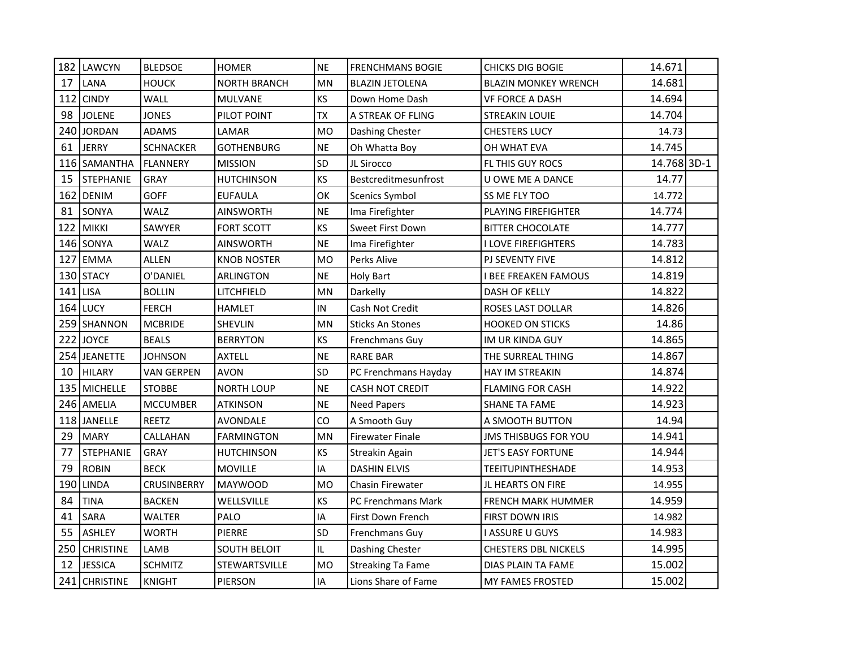| 182 | <b>LAWCYN</b>    | <b>BLEDSOE</b>     | <b>HOMER</b>        | <b>NE</b> | <b>FRENCHMANS BOGIE</b>  | <b>CHICKS DIG BOGIE</b>     | 14.671      |  |
|-----|------------------|--------------------|---------------------|-----------|--------------------------|-----------------------------|-------------|--|
| 17  | LANA             | <b>HOUCK</b>       | <b>NORTH BRANCH</b> | <b>MN</b> | <b>BLAZIN JETOLENA</b>   | <b>BLAZIN MONKEY WRENCH</b> | 14.681      |  |
| 112 | <b>CINDY</b>     | <b>WALL</b>        | <b>MULVANE</b>      | KS        | Down Home Dash           | VF FORCE A DASH             | 14.694      |  |
| 98  | <b>JOLENE</b>    | <b>JONES</b>       | PILOT POINT         | <b>TX</b> | A STREAK OF FLING        | STREAKIN LOUIE              | 14.704      |  |
| 240 | <b>JORDAN</b>    | <b>ADAMS</b>       | LAMAR               | <b>MO</b> | Dashing Chester          | <b>CHESTERS LUCY</b>        | 14.73       |  |
| 61  | <b>JERRY</b>     | <b>SCHNACKER</b>   | <b>GOTHENBURG</b>   | <b>NE</b> | Oh Whatta Boy            | OH WHAT EVA                 | 14.745      |  |
|     | 116 SAMANTHA     | <b>FLANNERY</b>    | <b>MISSION</b>      | SD        | JL Sirocco               | FL THIS GUY ROCS            | 14.768 3D-1 |  |
| 15  | <b>STEPHANIE</b> | <b>GRAY</b>        | <b>HUTCHINSON</b>   | KS        | Bestcreditmesunfrost     | U OWE ME A DANCE            | 14.77       |  |
| 162 | <b>DENIM</b>     | GOFF               | <b>EUFAULA</b>      | OK        | <b>Scenics Symbol</b>    | SS ME FLY TOO               | 14.772      |  |
| 81  | SONYA            | WALZ               | <b>AINSWORTH</b>    | <b>NE</b> | Ima Firefighter          | PLAYING FIREFIGHTER         | 14.774      |  |
| 122 | <b>MIKKI</b>     | SAWYER             | <b>FORT SCOTT</b>   | KS        | <b>Sweet First Down</b>  | <b>BITTER CHOCOLATE</b>     | 14.777      |  |
| 146 | SONYA            | WALZ               | <b>AINSWORTH</b>    | $\sf NE$  | Ima Firefighter          | I LOVE FIREFIGHTERS         | 14.783      |  |
| 127 | <b>EMMA</b>      | <b>ALLEN</b>       | <b>KNOB NOSTER</b>  | <b>MO</b> | Perks Alive              | PJ SEVENTY FIVE             | 14.812      |  |
| 130 | <b>STACY</b>     | O'DANIEL           | ARLINGTON           | <b>NE</b> | <b>Holy Bart</b>         | <b>I BEE FREAKEN FAMOUS</b> | 14.819      |  |
| 141 | <b>LISA</b>      | <b>BOLLIN</b>      | LITCHFIELD          | MN        | Darkelly                 | DASH OF KELLY               | 14.822      |  |
|     | <b>164 LUCY</b>  | <b>FERCH</b>       | <b>HAMLET</b>       | IN        | Cash Not Credit          | ROSES LAST DOLLAR           | 14.826      |  |
|     | 259 SHANNON      | <b>MCBRIDE</b>     | <b>SHEVLIN</b>      | <b>MN</b> | <b>Sticks An Stones</b>  | <b>HOOKED ON STICKS</b>     | 14.86       |  |
|     | 222 JOYCE        | <b>BEALS</b>       | <b>BERRYTON</b>     | KS        | Frenchmans Guy           | IM UR KINDA GUY             | 14.865      |  |
| 254 | <b>JEANETTE</b>  | <b>JOHNSON</b>     | <b>AXTELL</b>       | <b>NE</b> | <b>RARE BAR</b>          | THE SURREAL THING           | 14.867      |  |
| 10  | <b>HILARY</b>    | <b>VAN GERPEN</b>  | <b>AVON</b>         | SD        | PC Frenchmans Hayday     | HAY IM STREAKIN             | 14.874      |  |
| 135 | <b>MICHELLE</b>  | <b>STOBBE</b>      | <b>NORTH LOUP</b>   | <b>NE</b> | <b>CASH NOT CREDIT</b>   | <b>FLAMING FOR CASH</b>     | 14.922      |  |
|     | 246 AMELIA       | <b>MCCUMBER</b>    | <b>ATKINSON</b>     | <b>NE</b> | <b>Need Papers</b>       | <b>SHANE TA FAME</b>        | 14.923      |  |
|     | 118 JANELLE      | <b>REETZ</b>       | AVONDALE            | CO        | A Smooth Guy             | A SMOOTH BUTTON             | 14.94       |  |
| 29  | <b>MARY</b>      | CALLAHAN           | <b>FARMINGTON</b>   | <b>MN</b> | <b>Firewater Finale</b>  | <b>JMS THISBUGS FOR YOU</b> | 14.941      |  |
| 77  | <b>STEPHANIE</b> | <b>GRAY</b>        | <b>HUTCHINSON</b>   | KS        | Streakin Again           | JET'S EASY FORTUNE          | 14.944      |  |
| 79  | <b>ROBIN</b>     | <b>BECK</b>        | <b>MOVILLE</b>      | IA        | <b>DASHIN ELVIS</b>      | <b>TEEITUPINTHESHADE</b>    | 14.953      |  |
| 190 | <b>LINDA</b>     | <b>CRUSINBERRY</b> | <b>MAYWOOD</b>      | <b>MO</b> | <b>Chasin Firewater</b>  | JL HEARTS ON FIRE           | 14.955      |  |
| 84  | <b>TINA</b>      | <b>BACKEN</b>      | WELLSVILLE          | KS        | PC Frenchmans Mark       | <b>FRENCH MARK HUMMER</b>   | 14.959      |  |
| 41  | SARA             | WALTER             | PALO                | IA        | First Down French        | FIRST DOWN IRIS             | 14.982      |  |
| 55  | <b>ASHLEY</b>    | <b>WORTH</b>       | PIERRE              | SD        | Frenchmans Guy           | I ASSURE U GUYS             | 14.983      |  |
| 250 | <b>CHRISTINE</b> | LAMB               | SOUTH BELOIT        | IL        | Dashing Chester          | <b>CHESTERS DBL NICKELS</b> | 14.995      |  |
| 12  | <b>JESSICA</b>   | <b>SCHMITZ</b>     | STEWARTSVILLE       | <b>MO</b> | <b>Streaking Ta Fame</b> | DIAS PLAIN TA FAME          | 15.002      |  |
|     | 241 CHRISTINE    | <b>KNIGHT</b>      | <b>PIERSON</b>      | IA        | Lions Share of Fame      | <b>MY FAMES FROSTED</b>     | 15.002      |  |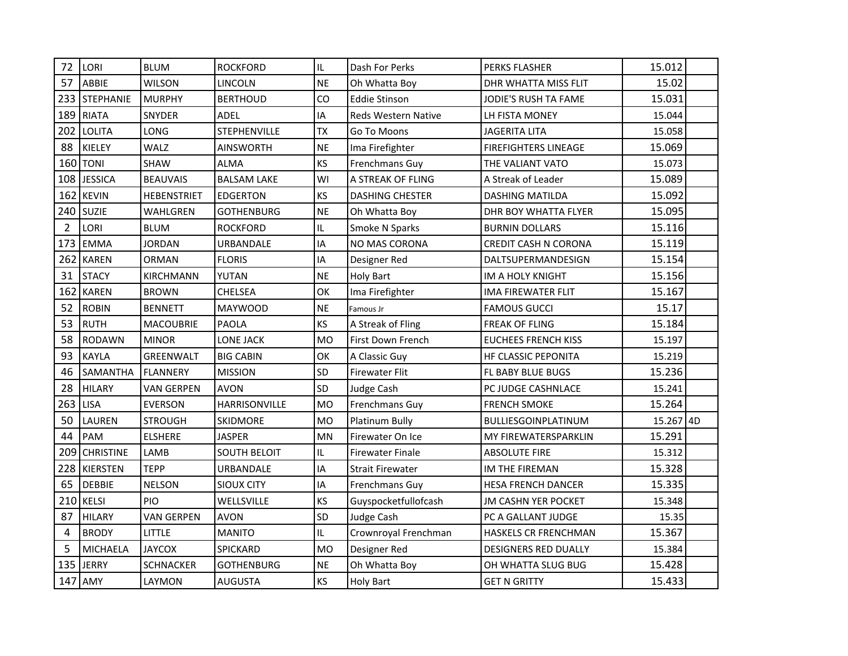| 72             | LORI             | <b>BLUM</b>       | <b>ROCKFORD</b>      | IL        | Dash For Perks             | PERKS FLASHER               | 15.012    |  |
|----------------|------------------|-------------------|----------------------|-----------|----------------------------|-----------------------------|-----------|--|
| 57             | ABBIE            | <b>WILSON</b>     | <b>LINCOLN</b>       | <b>NE</b> | Oh Whatta Boy              | DHR WHATTA MISS FLIT        | 15.02     |  |
| 233            | <b>STEPHANIE</b> | <b>MURPHY</b>     | <b>BERTHOUD</b>      | CO        | <b>Eddie Stinson</b>       | JODIE'S RUSH TA FAME        | 15.031    |  |
| 189            | <b>RIATA</b>     | SNYDER            | ADEL                 | IA        | <b>Reds Western Native</b> | LH FISTA MONEY              | 15.044    |  |
| 202            | <b>LOLITA</b>    | LONG              | <b>STEPHENVILLE</b>  | <b>TX</b> | Go To Moons                | <b>JAGERITA LITA</b>        | 15.058    |  |
| 88             | KIELEY           | WALZ              | <b>AINSWORTH</b>     | <b>NE</b> | Ima Firefighter            | <b>FIREFIGHTERS LINEAGE</b> | 15.069    |  |
| 160            | <b>TONI</b>      | <b>SHAW</b>       | <b>ALMA</b>          | KS        | Frenchmans Guy             | THE VALIANT VATO            | 15.073    |  |
| 108            | <b>JESSICA</b>   | <b>BEAUVAIS</b>   | <b>BALSAM LAKE</b>   | WI        | A STREAK OF FLING          | A Streak of Leader          | 15.089    |  |
| 162            | <b>KEVIN</b>     | HEBENSTRIET       | <b>EDGERTON</b>      | KS        | <b>DASHING CHESTER</b>     | <b>DASHING MATILDA</b>      | 15.092    |  |
|                | 240 SUZIE        | WAHLGREN          | <b>GOTHENBURG</b>    | <b>NE</b> | Oh Whatta Boy              | DHR BOY WHATTA FLYER        | 15.095    |  |
| $\overline{2}$ | LORI             | <b>BLUM</b>       | <b>ROCKFORD</b>      | IL        | Smoke N Sparks             | <b>BURNIN DOLLARS</b>       | 15.116    |  |
| 173            | <b>EMMA</b>      | <b>JORDAN</b>     | URBANDALE            | IA        | <b>NO MAS CORONA</b>       | CREDIT CASH N CORONA        | 15.119    |  |
| 262            | <b>KAREN</b>     | <b>ORMAN</b>      | <b>FLORIS</b>        | IA        | Designer Red               | DALTSUPERMANDESIGN          | 15.154    |  |
| 31             | <b>STACY</b>     | <b>KIRCHMANN</b>  | YUTAN                | <b>NE</b> | <b>Holy Bart</b>           | IM A HOLY KNIGHT            | 15.156    |  |
| 162            | <b>KAREN</b>     | <b>BROWN</b>      | <b>CHELSEA</b>       | OK        | Ima Firefighter            | <b>IMA FIREWATER FLIT</b>   | 15.167    |  |
| 52             | <b>ROBIN</b>     | <b>BENNETT</b>    | <b>MAYWOOD</b>       | <b>NE</b> | Famous Jr                  | <b>FAMOUS GUCCI</b>         | 15.17     |  |
| 53             | <b>RUTH</b>      | <b>MACOUBRIE</b>  | PAOLA                | KS        | A Streak of Fling          | FREAK OF FLING              | 15.184    |  |
| 58             | <b>RODAWN</b>    | <b>MINOR</b>      | <b>LONE JACK</b>     | <b>MO</b> | First Down French          | <b>EUCHEES FRENCH KISS</b>  | 15.197    |  |
| 93             | <b>KAYLA</b>     | GREENWALT         | <b>BIG CABIN</b>     | OK        | A Classic Guy              | <b>HF CLASSIC PEPONITA</b>  | 15.219    |  |
| 46             | SAMANTHA         | <b>FLANNERY</b>   | <b>MISSION</b>       | SD        | <b>Firewater Flit</b>      | FL BABY BLUE BUGS           | 15.236    |  |
| 28             | <b>HILARY</b>    | <b>VAN GERPEN</b> | <b>AVON</b>          | SD        | Judge Cash                 | PC JUDGE CASHNLACE          | 15.241    |  |
| 263            | <b>LISA</b>      | <b>EVERSON</b>    | <b>HARRISONVILLE</b> | <b>MO</b> | Frenchmans Guy             | <b>FRENCH SMOKE</b>         | 15.264    |  |
| 50             | <b>LAUREN</b>    | <b>STROUGH</b>    | SKIDMORE             | <b>MO</b> | <b>Platinum Bully</b>      | BULLIESGOINPLATINUM         | 15.267 4D |  |
| 44             | PAM              | <b>ELSHERE</b>    | <b>JASPER</b>        | <b>MN</b> | <b>Firewater On Ice</b>    | MY FIREWATERSPARKLIN        | 15.291    |  |
| 209            | <b>CHRISTINE</b> | LAMB              | <b>SOUTH BELOIT</b>  | IL        | <b>Firewater Finale</b>    | <b>ABSOLUTE FIRE</b>        | 15.312    |  |
| 228            | KIERSTEN         | <b>TEPP</b>       | URBANDALE            | IA        | <b>Strait Firewater</b>    | IM THE FIREMAN              | 15.328    |  |
| 65             | <b>DEBBIE</b>    | <b>NELSON</b>     | <b>SIOUX CITY</b>    | IA        | Frenchmans Guy             | <b>HESA FRENCH DANCER</b>   | 15.335    |  |
| 210            | <b>KELSI</b>     | PIO               | WELLSVILLE           | KS        | Guyspocketfullofcash       | <b>JM CASHN YER POCKET</b>  | 15.348    |  |
| 87             | <b>HILARY</b>    | <b>VAN GERPEN</b> | <b>AVON</b>          | SD        | Judge Cash                 | PC A GALLANT JUDGE          | 15.35     |  |
| $\overline{4}$ | <b>BRODY</b>     | LITTLE            | <b>MANITO</b>        | IL        | Crownroyal Frenchman       | <b>HASKELS CR FRENCHMAN</b> | 15.367    |  |
| 5              | <b>MICHAELA</b>  | <b>JAYCOX</b>     | <b>SPICKARD</b>      | <b>MO</b> | Designer Red               | <b>DESIGNERS RED DUALLY</b> | 15.384    |  |
|                | 135 JERRY        | <b>SCHNACKER</b>  | <b>GOTHENBURG</b>    | <b>NE</b> | Oh Whatta Boy              | OH WHATTA SLUG BUG          | 15.428    |  |
|                | 147 AMY          | LAYMON            | <b>AUGUSTA</b>       | <b>KS</b> | <b>Holy Bart</b>           | <b>GET N GRITTY</b>         | 15.433    |  |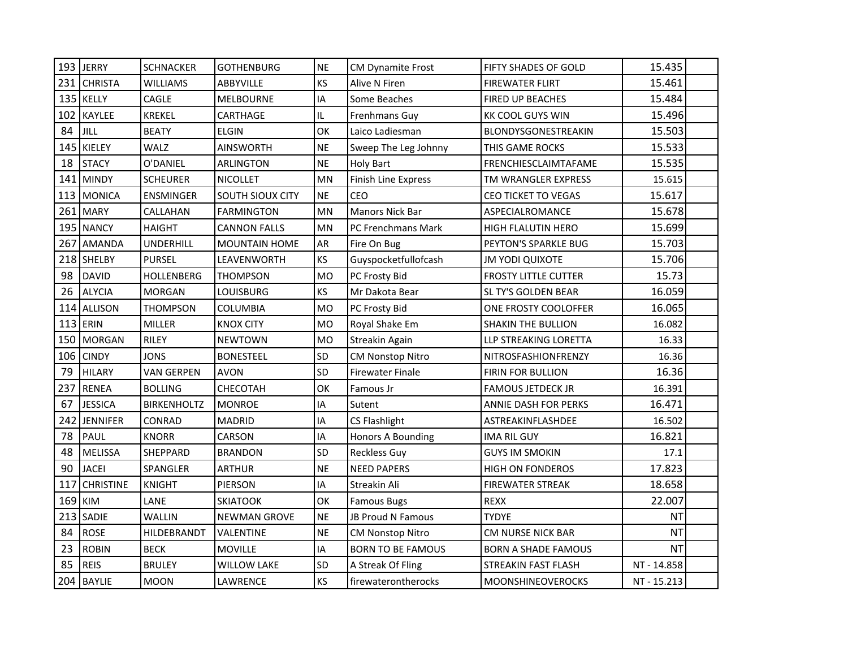| 193 | <b>JERRY</b>     | <b>SCHNACKER</b>   | <b>GOTHENBURG</b>    | <b>NE</b>                         | <b>CM Dynamite Frost</b> | FIFTY SHADES OF GOLD        | 15.435      |  |
|-----|------------------|--------------------|----------------------|-----------------------------------|--------------------------|-----------------------------|-------------|--|
| 231 | <b>CHRISTA</b>   | <b>WILLIAMS</b>    | ABBYVILLE            | KS                                | Alive N Firen            | <b>FIREWATER FLIRT</b>      | 15.461      |  |
| 135 | <b>KELLY</b>     | CAGLE              | <b>MELBOURNE</b>     | IA                                | Some Beaches             | <b>FIRED UP BEACHES</b>     | 15.484      |  |
| 102 | KAYLEE           | <b>KREKEL</b>      | CARTHAGE             | $\ensuremath{\mathsf{IL}}\xspace$ | Frenhmans Guy            | <b>KK COOL GUYS WIN</b>     | 15.496      |  |
| 84  | JILL             | <b>BEATY</b>       | <b>ELGIN</b>         | OK                                | Laico Ladiesman          | BLONDYSGONESTREAKIN         | 15.503      |  |
| 145 | KIELEY           | WALZ               | <b>AINSWORTH</b>     | <b>NE</b>                         | Sweep The Leg Johnny     | THIS GAME ROCKS             | 15.533      |  |
| 18  | <b>STACY</b>     | O'DANIEL           | ARLINGTON            | <b>NE</b>                         | <b>Holy Bart</b>         | FRENCHIESCLAIMTAFAME        | 15.535      |  |
| 141 | <b>MINDY</b>     | <b>SCHEURER</b>    | <b>NICOLLET</b>      | <b>MN</b>                         | Finish Line Express      | TM WRANGLER EXPRESS         | 15.615      |  |
| 113 | <b>MONICA</b>    | ENSMINGER          | SOUTH SIOUX CITY     | <b>NE</b>                         | CEO                      | <b>CEO TICKET TO VEGAS</b>  | 15.617      |  |
| 261 | <b>MARY</b>      | CALLAHAN           | <b>FARMINGTON</b>    | <b>MN</b>                         | <b>Manors Nick Bar</b>   | ASPECIALROMANCE             | 15.678      |  |
| 195 | <b>NANCY</b>     | <b>HAIGHT</b>      | <b>CANNON FALLS</b>  | <b>MN</b>                         | PC Frenchmans Mark       | HIGH FLALUTIN HERO          | 15.699      |  |
| 267 | <b>AMANDA</b>    | <b>UNDERHILL</b>   | <b>MOUNTAIN HOME</b> | AR                                | Fire On Bug              | PEYTON'S SPARKLE BUG        | 15.703      |  |
|     | 218 SHELBY       | <b>PURSEL</b>      | LEAVENWORTH          | KS                                | Guyspocketfullofcash     | JM YODI QUIXOTE             | 15.706      |  |
| 98  | <b>DAVID</b>     | <b>HOLLENBERG</b>  | <b>THOMPSON</b>      | <b>MO</b>                         | PC Frosty Bid            | <b>FROSTY LITTLE CUTTER</b> | 15.73       |  |
| 26  | <b>ALYCIA</b>    | <b>MORGAN</b>      | LOUISBURG            | KS                                | Mr Dakota Bear           | SL TY'S GOLDEN BEAR         | 16.059      |  |
| 114 | <b>ALLISON</b>   | <b>THOMPSON</b>    | <b>COLUMBIA</b>      | <b>MO</b>                         | PC Frosty Bid            | ONE FROSTY COOLOFFER        | 16.065      |  |
| 113 | ERIN             | <b>MILLER</b>      | <b>KNOX CITY</b>     | <b>MO</b>                         | Royal Shake Em           | <b>SHAKIN THE BULLION</b>   | 16.082      |  |
| 150 | <b>MORGAN</b>    | <b>RILEY</b>       | <b>NEWTOWN</b>       | <b>MO</b>                         | <b>Streakin Again</b>    | LLP STREAKING LORETTA       | 16.33       |  |
| 106 | <b>CINDY</b>     | <b>JONS</b>        | <b>BONESTEEL</b>     | SD                                | <b>CM Nonstop Nitro</b>  | NITROSFASHIONFRENZY         | 16.36       |  |
| 79  | <b>HILARY</b>    | <b>VAN GERPEN</b>  | <b>AVON</b>          | SD                                | <b>Firewater Finale</b>  | <b>FIRIN FOR BULLION</b>    | 16.36       |  |
| 237 | <b>RENEA</b>     | <b>BOLLING</b>     | CHECOTAH             | OK                                | Famous Jr                | <b>FAMOUS JETDECK JR</b>    | 16.391      |  |
| 67  | <b>JESSICA</b>   | <b>BIRKENHOLTZ</b> | <b>MONROE</b>        | IA                                | Sutent                   | ANNIE DASH FOR PERKS        | 16.471      |  |
| 242 | <b>JENNIFER</b>  | CONRAD             | <b>MADRID</b>        | IA                                | CS Flashlight            | ASTREAKINFLASHDEE           | 16.502      |  |
| 78  | PAUL             | <b>KNORR</b>       | CARSON               | IA                                | Honors A Bounding        | <b>IMA RIL GUY</b>          | 16.821      |  |
| 48  | <b>MELISSA</b>   | SHEPPARD           | <b>BRANDON</b>       | SD                                | <b>Reckless Guy</b>      | <b>GUYS IM SMOKIN</b>       | 17.1        |  |
| 90  | <b>JACEI</b>     | SPANGLER           | <b>ARTHUR</b>        | <b>NE</b>                         | <b>NEED PAPERS</b>       | <b>HIGH ON FONDEROS</b>     | 17.823      |  |
| 117 | <b>CHRISTINE</b> | <b>KNIGHT</b>      | <b>PIERSON</b>       | IA                                | Streakin Ali             | <b>FIREWATER STREAK</b>     | 18.658      |  |
| 169 | <b>KIM</b>       | LANE               | <b>SKIATOOK</b>      | OK                                | <b>Famous Bugs</b>       | <b>REXX</b>                 | 22.007      |  |
| 213 | SADIE            | <b>WALLIN</b>      | <b>NEWMAN GROVE</b>  | <b>NE</b>                         | <b>JB Proud N Famous</b> | TYDYE                       | <b>NT</b>   |  |
| 84  | <b>ROSE</b>      | HILDEBRANDT        | <b>VALENTINE</b>     | <b>NE</b>                         | <b>CM Nonstop Nitro</b>  | CM NURSE NICK BAR           | <b>NT</b>   |  |
| 23  | <b>ROBIN</b>     | <b>BECK</b>        | <b>MOVILLE</b>       | IA                                | <b>BORN TO BE FAMOUS</b> | <b>BORN A SHADE FAMOUS</b>  | <b>NT</b>   |  |
| 85  | <b>REIS</b>      | <b>BRULEY</b>      | <b>WILLOW LAKE</b>   | SD                                | A Streak Of Fling        | STREAKIN FAST FLASH         | NT - 14.858 |  |
|     | 204 BAYLIE       | <b>MOON</b>        | LAWRENCE             | KS                                | firewaterontherocks      | <b>MOONSHINEOVEROCKS</b>    | NT - 15.213 |  |